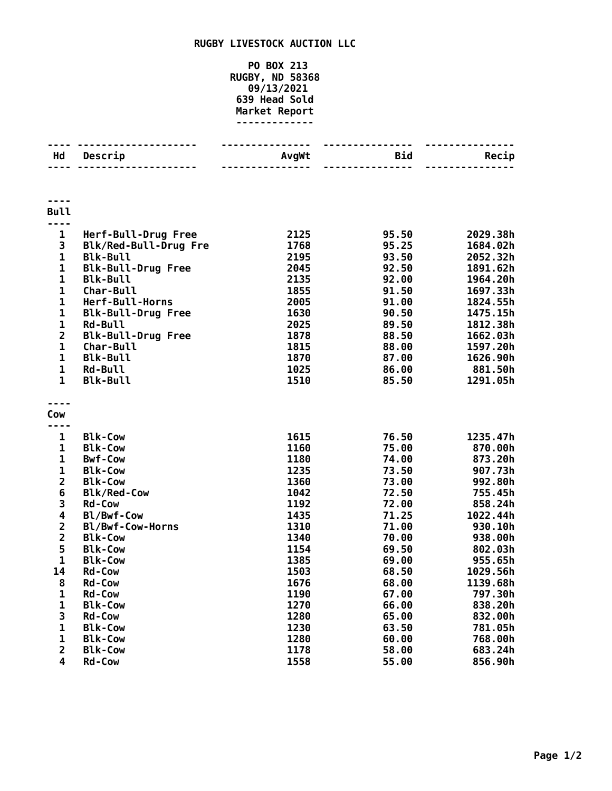## **RUGBY LIVESTOCK AUCTION LLC**

**PO BOX 213 RUGBY, ND 58368 09/13/2021 Head Sold Market Report -------------**

| Hd                      | Descrip                          | AvgWt        | <b>Bid</b>     | Recip              |
|-------------------------|----------------------------------|--------------|----------------|--------------------|
|                         |                                  |              |                |                    |
| <b>Bull</b>             |                                  |              |                |                    |
|                         |                                  |              |                |                    |
| $\mathbf{1}$            | Herf-Bull-Drug Free              | 2125         | 95.50          | 2029.38h           |
| 3                       | Blk/Red-Bull-Drug Fre            | 1768         | 95.25          | 1684.02h           |
| 1                       | <b>Blk-Bull</b>                  | 2195         | 93.50          | 2052.32h           |
| 1                       | <b>Blk-Bull-Drug Free</b>        | 2045         | 92.50          | 1891.62h           |
| $\mathbf{1}$            | <b>Blk-Bull</b>                  | 2135         | 92.00          | 1964.20h           |
| $\mathbf 1$             | Char-Bull                        | 1855         | 91.50          | 1697.33h           |
| $\mathbf{1}$            | Herf-Bull-Horns                  | 2005         | 91.00          | 1824.55h           |
| $\mathbf{1}$            | <b>Blk-Bull-Drug Free</b>        | 1630         | 90.50          | 1475.15h           |
| $\mathbf{1}$            | <b>Rd-Bull</b>                   | 2025         | 89.50          | 1812.38h           |
| $\overline{\mathbf{c}}$ | <b>Blk-Bull-Drug Free</b>        | 1878         | 88.50          | 1662.03h           |
| $\mathbf 1$             | <b>Char-Bull</b>                 | 1815         | 88.00          | 1597.20h           |
| $\mathbf 1$             | <b>Blk-Bull</b>                  | 1870         | 87.00          | 1626.90h           |
| $\mathbf 1$             | <b>Rd-Bull</b>                   | 1025         | 86.00          | 881.50h            |
| $\mathbf{1}$            | <b>Blk-Bull</b>                  | 1510         | 85.50          | 1291.05h           |
|                         |                                  |              |                |                    |
| Cow                     |                                  |              |                |                    |
|                         |                                  |              |                |                    |
| 1                       | <b>Blk-Cow</b>                   | 1615         | 76.50          | 1235.47h           |
| 1<br>$\mathbf 1$        | <b>Blk-Cow</b><br><b>Bwf-Cow</b> | 1160         | 75.00          | 870.00h            |
| 1                       | <b>Blk-Cow</b>                   | 1180<br>1235 | 74.00          | 873.20h            |
| $\overline{\mathbf{c}}$ | <b>Blk-Cow</b>                   | 1360         | 73.50<br>73.00 | 907.73h<br>992.80h |
| 6                       | <b>Blk/Red-Cow</b>               | 1042         | 72.50          | 755.45h            |
| 3                       | <b>Rd-Cow</b>                    | 1192         | 72.00          | 858.24h            |
| 4                       | Bl/Bwf-Cow                       | 1435         | 71.25          | 1022.44h           |
| $\overline{\mathbf{c}}$ | Bl/Bwf-Cow-Horns                 | 1310         | 71.00          | 930.10h            |
| $\overline{2}$          | <b>Blk-Cow</b>                   | 1340         | 70.00          | 938.00h            |
| 5                       | <b>Blk-Cow</b>                   | 1154         | 69.50          | 802.03h            |
| $\mathbf 1$             | <b>Blk-Cow</b>                   | 1385         | 69.00          | 955.65h            |
| 14                      | <b>Rd-Cow</b>                    | 1503         | 68.50          | 1029.56h           |
| 8                       | <b>Rd-Cow</b>                    | 1676         | 68.00          | 1139.68h           |
| 1                       | <b>Rd-Cow</b>                    | 1190         | 67.00          | 797.30h            |
| 1                       | <b>Blk-Cow</b>                   | 1270         | 66.00          | 838.20h            |
| 3                       | <b>Rd-Cow</b>                    | 1280         | 65.00          | 832.00h            |
| 1                       | <b>Blk-Cow</b>                   | 1230         | 63.50          | 781.05h            |
| 1                       | <b>Blk-Cow</b>                   | 1280         | 60.00          | 768.00h            |
| $\overline{\mathbf{c}}$ | <b>Blk-Cow</b>                   | 1178         | 58.00          | 683.24h            |
| $\overline{\mathbf{4}}$ | <b>Rd-Cow</b>                    | 1558         | 55.00          | 856.90h            |